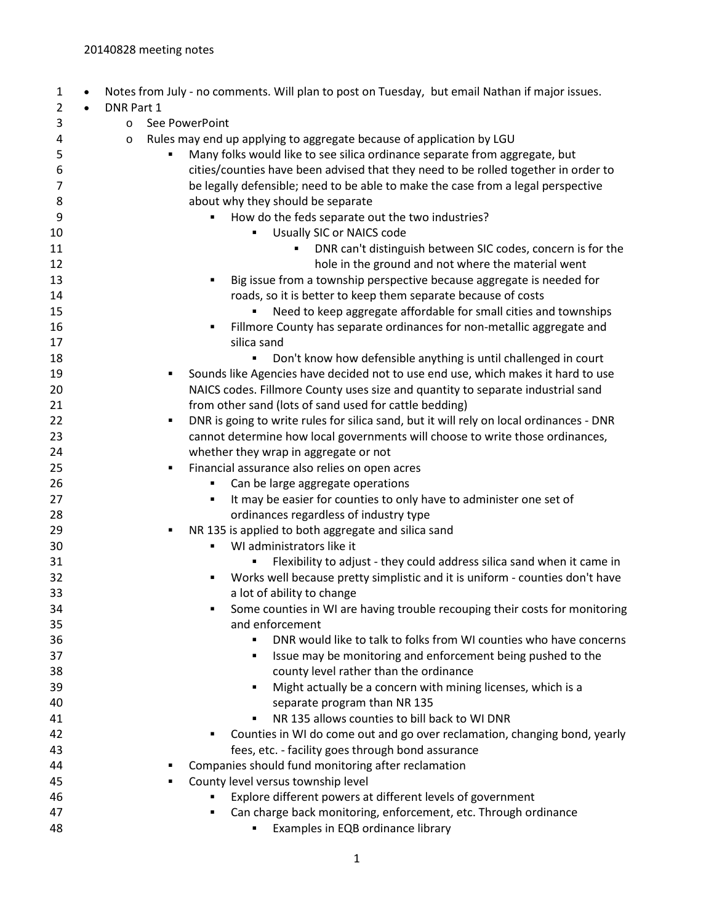| $\mathbf{1}$   |           |            | Notes from July - no comments. Will plan to post on Tuesday, but email Nathan if major issues.           |
|----------------|-----------|------------|----------------------------------------------------------------------------------------------------------|
| $\overline{2}$ | $\bullet$ | DNR Part 1 |                                                                                                          |
| 3              |           | $\circ$    | See PowerPoint                                                                                           |
| 4              |           | $\circ$    | Rules may end up applying to aggregate because of application by LGU                                     |
| 5              |           |            | Many folks would like to see silica ordinance separate from aggregate, but                               |
| 6              |           |            | cities/counties have been advised that they need to be rolled together in order to                       |
| $\overline{7}$ |           |            | be legally defensible; need to be able to make the case from a legal perspective                         |
| 8              |           |            | about why they should be separate                                                                        |
| 9              |           |            | How do the feds separate out the two industries?                                                         |
| 10             |           |            | Usually SIC or NAICS code                                                                                |
| 11             |           |            | DNR can't distinguish between SIC codes, concern is for the                                              |
| 12             |           |            | hole in the ground and not where the material went                                                       |
| 13             |           |            | Big issue from a township perspective because aggregate is needed for<br>٠                               |
| 14             |           |            | roads, so it is better to keep them separate because of costs                                            |
| 15             |           |            | Need to keep aggregate affordable for small cities and townships                                         |
| 16             |           |            | Fillmore County has separate ordinances for non-metallic aggregate and                                   |
| 17             |           |            | silica sand                                                                                              |
| 18             |           |            | Don't know how defensible anything is until challenged in court<br>٠                                     |
| 19             |           |            | Sounds like Agencies have decided not to use end use, which makes it hard to use<br>٠                    |
| 20             |           |            | NAICS codes. Fillmore County uses size and quantity to separate industrial sand                          |
| 21             |           |            | from other sand (lots of sand used for cattle bedding)                                                   |
| 22             |           |            | DNR is going to write rules for silica sand, but it will rely on local ordinances - DNR<br>٠             |
| 23             |           |            | cannot determine how local governments will choose to write those ordinances,                            |
| 24             |           |            | whether they wrap in aggregate or not                                                                    |
| 25<br>26       |           |            | Financial assurance also relies on open acres<br>٠                                                       |
| 27             |           |            | Can be large aggregate operations<br>It may be easier for counties to only have to administer one set of |
| 28             |           |            | ordinances regardless of industry type                                                                   |
| 29             |           |            | NR 135 is applied to both aggregate and silica sand<br>٠                                                 |
| 30             |           |            | WI administrators like it<br>٠                                                                           |
| 31             |           |            | Flexibility to adjust - they could address silica sand when it came in                                   |
| 32             |           |            | Works well because pretty simplistic and it is uniform - counties don't have<br>٠                        |
| 33             |           |            | a lot of ability to change                                                                               |
| 34             |           |            | Some counties in WI are having trouble recouping their costs for monitoring                              |
| 35             |           |            | and enforcement                                                                                          |
| 36             |           |            | DNR would like to talk to folks from WI counties who have concerns                                       |
| 37             |           |            | Issue may be monitoring and enforcement being pushed to the<br>٠                                         |
| 38             |           |            | county level rather than the ordinance                                                                   |
| 39             |           |            | Might actually be a concern with mining licenses, which is a<br>٠                                        |
| 40             |           |            | separate program than NR 135                                                                             |
| 41             |           |            | NR 135 allows counties to bill back to WI DNR<br>٠                                                       |
| 42             |           |            | Counties in WI do come out and go over reclamation, changing bond, yearly                                |
| 43             |           |            | fees, etc. - facility goes through bond assurance                                                        |
| 44             |           |            | Companies should fund monitoring after reclamation                                                       |
| 45             |           |            | County level versus township level<br>٠                                                                  |
| 46             |           |            | Explore different powers at different levels of government                                               |
| 47             |           |            | Can charge back monitoring, enforcement, etc. Through ordinance                                          |
| 48             |           |            | Examples in EQB ordinance library                                                                        |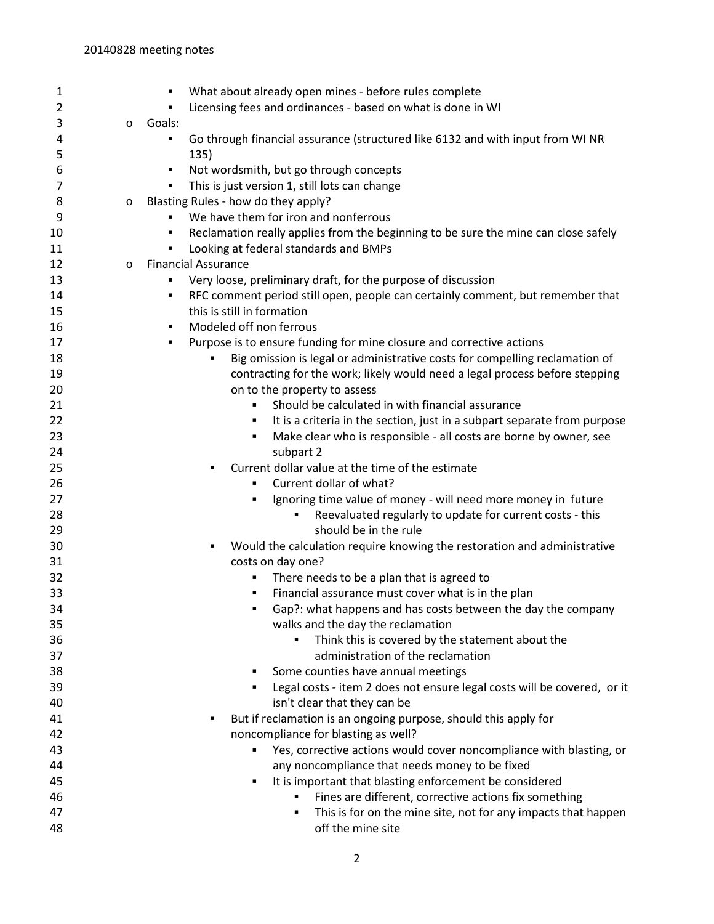| 1        |         | What about already open mines - before rules complete<br>٠                                              |
|----------|---------|---------------------------------------------------------------------------------------------------------|
| 2        |         | Licensing fees and ordinances - based on what is done in WI<br>٠                                        |
| 3        | $\circ$ | Goals:                                                                                                  |
| 4        |         | Go through financial assurance (structured like 6132 and with input from WI NR<br>٠                     |
| 5        |         | 135)                                                                                                    |
| 6        |         | Not wordsmith, but go through concepts<br>٠                                                             |
| 7        |         | This is just version 1, still lots can change<br>٠                                                      |
| 8        | $\circ$ | Blasting Rules - how do they apply?                                                                     |
| 9        |         | We have them for iron and nonferrous                                                                    |
| 10       |         | Reclamation really applies from the beginning to be sure the mine can close safely<br>٠                 |
| 11       |         | Looking at federal standards and BMPs<br>٠                                                              |
| 12       | $\circ$ | <b>Financial Assurance</b>                                                                              |
| 13       |         | Very loose, preliminary draft, for the purpose of discussion<br>٠                                       |
| 14       |         | RFC comment period still open, people can certainly comment, but remember that<br>٠                     |
| 15       |         | this is still in formation                                                                              |
| 16       |         | Modeled off non ferrous<br>٠                                                                            |
| 17       |         | Purpose is to ensure funding for mine closure and corrective actions<br>٠                               |
| 18       |         | Big omission is legal or administrative costs for compelling reclamation of                             |
| 19       |         | contracting for the work; likely would need a legal process before stepping                             |
| 20       |         | on to the property to assess                                                                            |
| 21       |         | Should be calculated in with financial assurance<br>$\blacksquare$                                      |
| 22       |         | It is a criteria in the section, just in a subpart separate from purpose<br>٠                           |
| 23       |         | Make clear who is responsible - all costs are borne by owner, see<br>٠                                  |
| 24       |         | subpart 2                                                                                               |
| 25       |         | Current dollar value at the time of the estimate<br>٠                                                   |
| 26       |         | Current dollar of what?<br>٠                                                                            |
| 27       |         | Ignoring time value of money - will need more money in future<br>٠                                      |
| 28       |         | Reevaluated regularly to update for current costs - this<br>٠                                           |
| 29       |         | should be in the rule                                                                                   |
| 30       |         | Would the calculation require knowing the restoration and administrative<br>٠                           |
| 31       |         | costs on day one?                                                                                       |
| 32       |         | There needs to be a plan that is agreed to<br>٠                                                         |
| 33       |         | Financial assurance must cover what is in the plan<br>٠                                                 |
| 34       |         | Gap?: what happens and has costs between the day the company                                            |
| 35       |         | walks and the day the reclamation                                                                       |
| 36<br>37 |         | Think this is covered by the statement about the<br>administration of the reclamation                   |
| 38       |         | Some counties have annual meetings                                                                      |
| 39       |         | ٠                                                                                                       |
| 40       |         | Legal costs - item 2 does not ensure legal costs will be covered, or it<br>isn't clear that they can be |
| 41       |         | But if reclamation is an ongoing purpose, should this apply for                                         |
| 42       |         | noncompliance for blasting as well?                                                                     |
| 43       |         | Yes, corrective actions would cover noncompliance with blasting, or<br>٠                                |
| 44       |         | any noncompliance that needs money to be fixed                                                          |
| 45       |         | It is important that blasting enforcement be considered<br>٠                                            |
| 46       |         | Fines are different, corrective actions fix something                                                   |
| 47       |         | This is for on the mine site, not for any impacts that happen<br>٠                                      |
| 48       |         | off the mine site                                                                                       |
|          |         |                                                                                                         |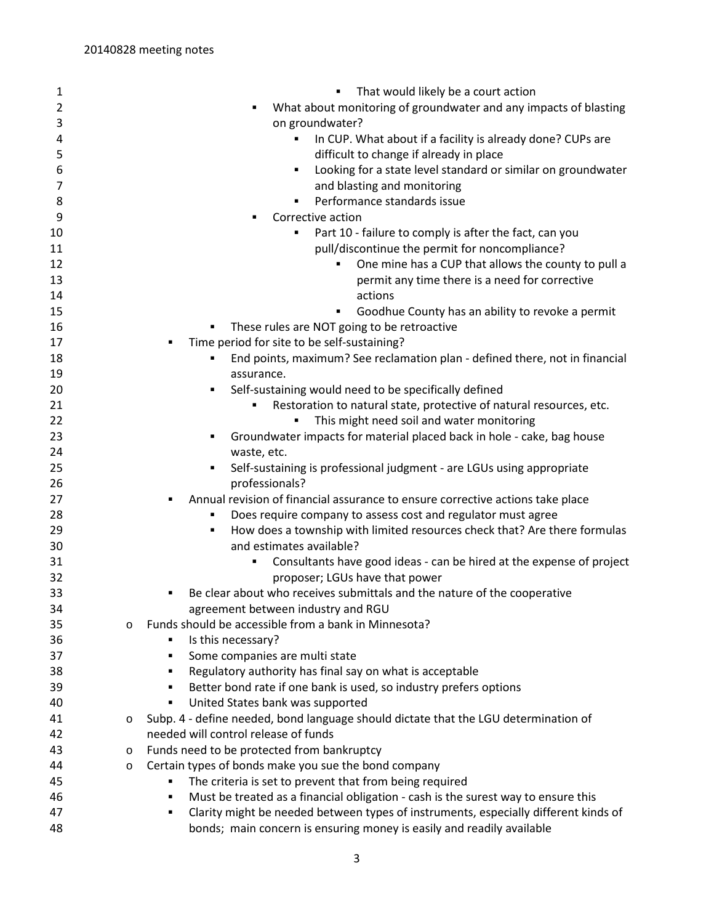| $\mathbf{1}$ |         | That would likely be a court action                                                      |
|--------------|---------|------------------------------------------------------------------------------------------|
| 2            |         | What about monitoring of groundwater and any impacts of blasting                         |
| 3            |         | on groundwater?                                                                          |
| 4            |         | In CUP. What about if a facility is already done? CUPs are<br>٠                          |
| 5            |         | difficult to change if already in place                                                  |
| 6            |         | Looking for a state level standard or similar on groundwater<br>٠                        |
| 7            |         | and blasting and monitoring                                                              |
| 8            |         | Performance standards issue<br>٠                                                         |
| 9            |         | Corrective action                                                                        |
| 10           |         | Part 10 - failure to comply is after the fact, can you<br>٠                              |
| 11           |         | pull/discontinue the permit for noncompliance?                                           |
| 12           |         | One mine has a CUP that allows the county to pull a<br>$\blacksquare$                    |
| 13           |         | permit any time there is a need for corrective                                           |
| 14           |         | actions                                                                                  |
| 15           |         | Goodhue County has an ability to revoke a permit<br>٠                                    |
| 16           |         | These rules are NOT going to be retroactive                                              |
| 17           |         | Time period for site to be self-sustaining?<br>٠                                         |
| 18           |         | End points, maximum? See reclamation plan - defined there, not in financial              |
| 19           |         | assurance.                                                                               |
| 20           |         | Self-sustaining would need to be specifically defined                                    |
| 21           |         | Restoration to natural state, protective of natural resources, etc.                      |
| 22           |         | This might need soil and water monitoring                                                |
| 23           |         | Groundwater impacts for material placed back in hole - cake, bag house                   |
| 24           |         | waste, etc.                                                                              |
| 25           |         | Self-sustaining is professional judgment - are LGUs using appropriate                    |
| 26           |         | professionals?                                                                           |
| 27           |         | Annual revision of financial assurance to ensure corrective actions take place<br>٠      |
| 28           |         | Does require company to assess cost and regulator must agree                             |
| 29           |         | How does a township with limited resources check that? Are there formulas<br>٠           |
| 30           |         | and estimates available?                                                                 |
| 31           |         | Consultants have good ideas - can be hired at the expense of project<br>٠                |
| 32           |         | proposer; LGUs have that power                                                           |
| 33           |         | Be clear about who receives submittals and the nature of the cooperative<br>٠            |
| 34           |         | agreement between industry and RGU                                                       |
| 35           | $\circ$ | Funds should be accessible from a bank in Minnesota?                                     |
| 36           |         | Is this necessary?<br>٠                                                                  |
| 37           |         | Some companies are multi state<br>٠                                                      |
| 38           |         | Regulatory authority has final say on what is acceptable<br>٠                            |
| 39           |         | Better bond rate if one bank is used, so industry prefers options<br>٠                   |
| 40           |         | United States bank was supported<br>٠                                                    |
| 41           | O       | Subp. 4 - define needed, bond language should dictate that the LGU determination of      |
| 42           |         | needed will control release of funds                                                     |
| 43           | $\circ$ | Funds need to be protected from bankruptcy                                               |
| 44           | O       | Certain types of bonds make you sue the bond company                                     |
| 45           |         | The criteria is set to prevent that from being required<br>٠                             |
| 46           |         | Must be treated as a financial obligation - cash is the surest way to ensure this<br>٠   |
| 47           |         | Clarity might be needed between types of instruments, especially different kinds of<br>٠ |
| 48           |         | bonds; main concern is ensuring money is easily and readily available                    |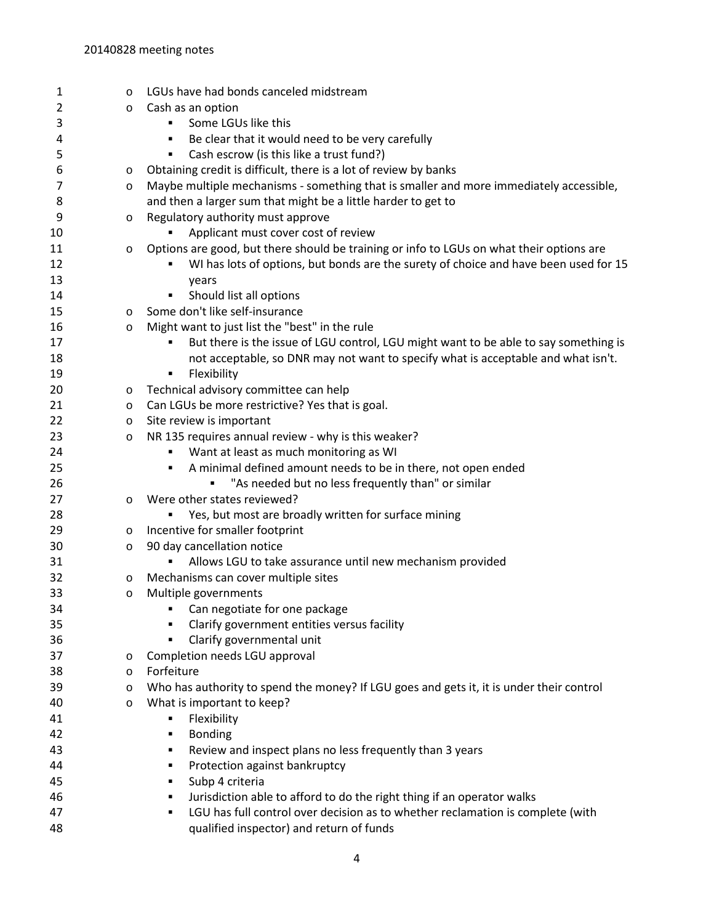| 1  | $\circ$ | LGUs have had bonds canceled midstream                                                   |
|----|---------|------------------------------------------------------------------------------------------|
| 2  | O       | Cash as an option                                                                        |
| 3  |         | Some LGUs like this<br>٠                                                                 |
| 4  |         | Be clear that it would need to be very carefully<br>٠                                    |
| 5  |         | Cash escrow (is this like a trust fund?)<br>٠                                            |
| 6  | $\circ$ | Obtaining credit is difficult, there is a lot of review by banks                         |
| 7  | $\circ$ | Maybe multiple mechanisms - something that is smaller and more immediately accessible,   |
| 8  |         | and then a larger sum that might be a little harder to get to                            |
| 9  | O       | Regulatory authority must approve                                                        |
| 10 |         | Applicant must cover cost of review                                                      |
| 11 | $\circ$ | Options are good, but there should be training or info to LGUs on what their options are |
| 12 |         | WI has lots of options, but bonds are the surety of choice and have been used for 15     |
| 13 |         | years                                                                                    |
| 14 |         | Should list all options<br>٠                                                             |
| 15 | $\circ$ | Some don't like self-insurance                                                           |
| 16 | $\circ$ | Might want to just list the "best" in the rule                                           |
| 17 |         | But there is the issue of LGU control, LGU might want to be able to say something is     |
| 18 |         | not acceptable, so DNR may not want to specify what is acceptable and what isn't.        |
| 19 |         | Flexibility<br>٠                                                                         |
| 20 | $\circ$ | Technical advisory committee can help                                                    |
| 21 | $\circ$ | Can LGUs be more restrictive? Yes that is goal.                                          |
| 22 | $\circ$ | Site review is important                                                                 |
| 23 | $\circ$ | NR 135 requires annual review - why is this weaker?                                      |
| 24 |         | Want at least as much monitoring as WI<br>٠                                              |
| 25 |         | A minimal defined amount needs to be in there, not open ended<br>٠                       |
| 26 |         | "As needed but no less frequently than" or similar                                       |
| 27 | O       | Were other states reviewed?                                                              |
| 28 |         | Yes, but most are broadly written for surface mining                                     |
| 29 | $\circ$ | Incentive for smaller footprint                                                          |
| 30 | $\circ$ | 90 day cancellation notice                                                               |
| 31 |         | Allows LGU to take assurance until new mechanism provided                                |
| 32 | $\circ$ | Mechanisms can cover multiple sites                                                      |
| 33 | $\circ$ | Multiple governments                                                                     |
| 34 |         | • Can negotiate for one package                                                          |
| 35 |         | Clarify government entities versus facility                                              |
| 36 |         | Clarify governmental unit<br>٠                                                           |
| 37 | $\circ$ | Completion needs LGU approval                                                            |
| 38 | $\circ$ | Forfeiture                                                                               |
| 39 | $\circ$ | Who has authority to spend the money? If LGU goes and gets it, it is under their control |
| 40 | $\circ$ | What is important to keep?                                                               |
| 41 |         | Flexibility<br>٠                                                                         |
| 42 |         | <b>Bonding</b><br>٠                                                                      |
| 43 |         | Review and inspect plans no less frequently than 3 years<br>٠                            |
| 44 |         | Protection against bankruptcy<br>٠                                                       |
| 45 |         | Subp 4 criteria<br>٠                                                                     |
| 46 |         | Jurisdiction able to afford to do the right thing if an operator walks<br>٠              |
| 47 |         | LGU has full control over decision as to whether reclamation is complete (with<br>٠      |
| 48 |         | qualified inspector) and return of funds                                                 |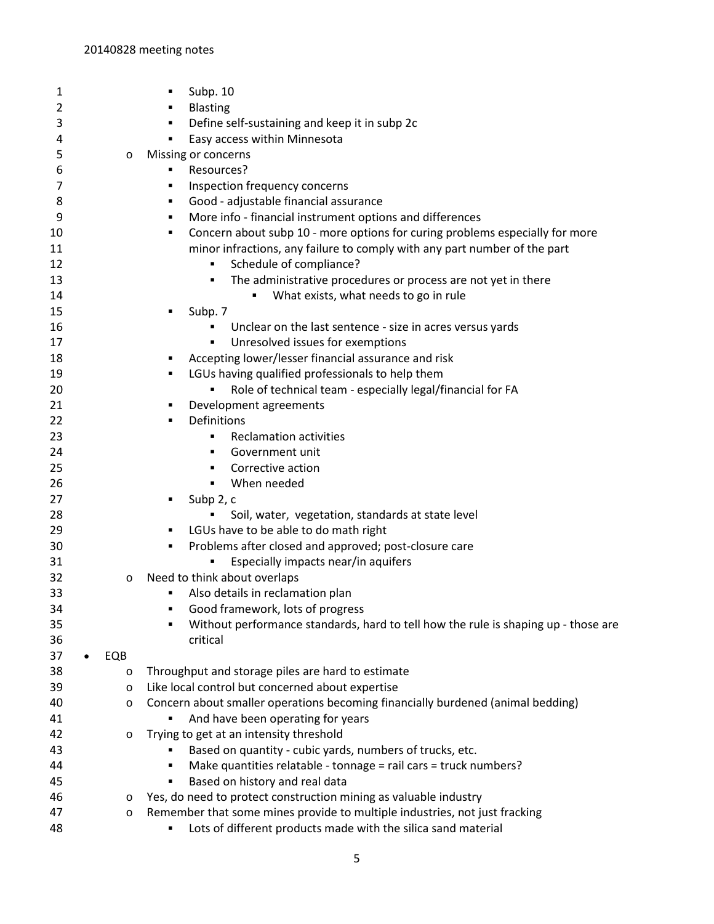| 1               |         | Subp. 10                                                                                                             |
|-----------------|---------|----------------------------------------------------------------------------------------------------------------------|
| 2               |         | <b>Blasting</b>                                                                                                      |
| 3               |         | Define self-sustaining and keep it in subp 2c                                                                        |
| 4               |         | Easy access within Minnesota<br>٠                                                                                    |
| 5               | $\circ$ | Missing or concerns                                                                                                  |
| 6               |         | Resources?                                                                                                           |
| 7               |         | Inspection frequency concerns<br>٠                                                                                   |
| 8               |         | Good - adjustable financial assurance<br>٠                                                                           |
| 9               |         | More info - financial instrument options and differences<br>٠                                                        |
| 10              |         | Concern about subp 10 - more options for curing problems especially for more                                         |
| 11              |         | minor infractions, any failure to comply with any part number of the part                                            |
| 12              |         | Schedule of compliance?<br>٠                                                                                         |
| 13              |         | The administrative procedures or process are not yet in there<br>٠                                                   |
| 14              |         | What exists, what needs to go in rule                                                                                |
| 15              |         | Subp. 7<br>٠                                                                                                         |
| 16              |         | Unclear on the last sentence - size in acres versus yards                                                            |
| 17              |         | Unresolved issues for exemptions<br>٠                                                                                |
| 18              |         | Accepting lower/lesser financial assurance and risk                                                                  |
| 19              |         | LGUs having qualified professionals to help them<br>٠                                                                |
| 20              |         | Role of technical team - especially legal/financial for FA                                                           |
| 21              |         | Development agreements                                                                                               |
| 22              |         | Definitions                                                                                                          |
| 23              |         | <b>Reclamation activities</b>                                                                                        |
| 24              |         | Government unit<br>٠                                                                                                 |
| 25              |         | Corrective action<br>٠                                                                                               |
| 26              |         | When needed<br>٠                                                                                                     |
| 27              |         | Subp 2, c                                                                                                            |
| 28              |         | Soil, water, vegetation, standards at state level                                                                    |
| 29              |         | LGUs have to be able to do math right                                                                                |
| 30              |         | Problems after closed and approved; post-closure care<br>٠                                                           |
| 31              |         | Especially impacts near/in aquifers                                                                                  |
| 32              |         | Need to think about overlaps                                                                                         |
| 33              | $\circ$ | Also details in reclamation plan                                                                                     |
| 34              |         | Good framework, lots of progress                                                                                     |
|                 |         | Without performance standards, hard to tell how the rule is shaping up - those are                                   |
| 35              |         | critical                                                                                                             |
| 36<br>37        | EQB     |                                                                                                                      |
| $\bullet$<br>38 |         |                                                                                                                      |
|                 | $\circ$ | Throughput and storage piles are hard to estimate                                                                    |
| 39              | $\circ$ | Like local control but concerned about expertise                                                                     |
| 40              | $\circ$ | Concern about smaller operations becoming financially burdened (animal bedding)<br>And have been operating for years |
| 41              |         |                                                                                                                      |
| 42              | $\circ$ | Trying to get at an intensity threshold                                                                              |
| 43              |         | Based on quantity - cubic yards, numbers of trucks, etc.                                                             |
| 44              |         | Make quantities relatable - tonnage = rail cars = truck numbers?<br>٠                                                |
| 45              |         | Based on history and real data<br>٠                                                                                  |
| 46              | $\circ$ | Yes, do need to protect construction mining as valuable industry                                                     |
| 47              | $\circ$ | Remember that some mines provide to multiple industries, not just fracking                                           |
| 48              |         | Lots of different products made with the silica sand material                                                        |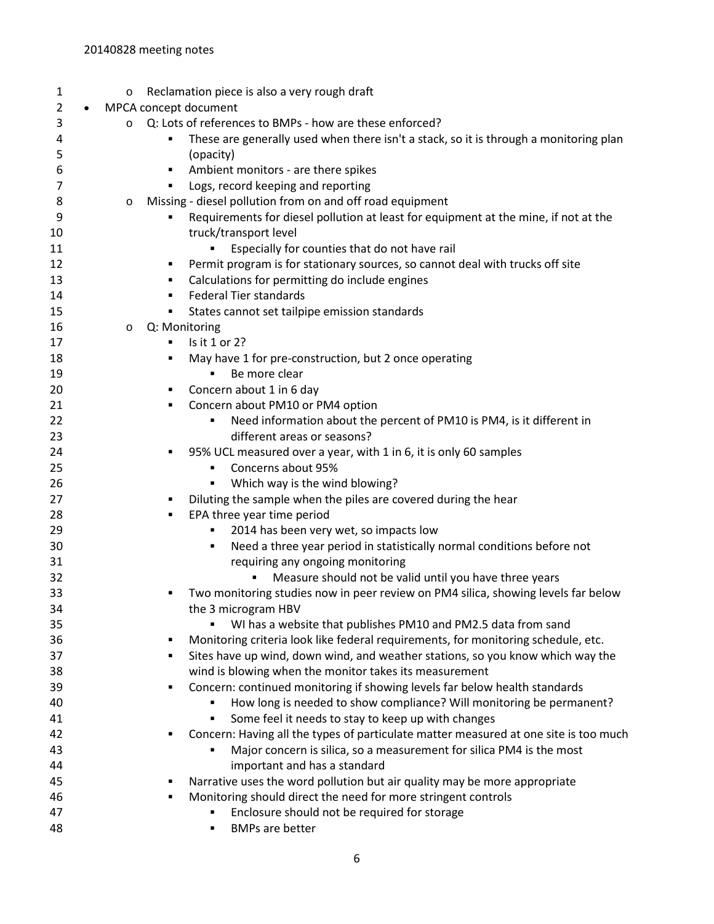| 1        | Reclamation piece is also a very rough draft<br>$\circ$                                                               |
|----------|-----------------------------------------------------------------------------------------------------------------------|
| 2        | MPCA concept document<br>$\bullet$                                                                                    |
| 3        | Q: Lots of references to BMPs - how are these enforced?<br>$\circ$                                                    |
| 4        | These are generally used when there isn't a stack, so it is through a monitoring plan                                 |
| 5        | (opacity)                                                                                                             |
| 6        | Ambient monitors - are there spikes<br>٠                                                                              |
| 7        | Logs, record keeping and reporting                                                                                    |
| 8        | Missing - diesel pollution from on and off road equipment<br>$\circ$                                                  |
| 9        | Requirements for diesel pollution at least for equipment at the mine, if not at the                                   |
| 10       | truck/transport level                                                                                                 |
| 11       | Especially for counties that do not have rail                                                                         |
| 12       | Permit program is for stationary sources, so cannot deal with trucks off site<br>٠                                    |
| 13       | Calculations for permitting do include engines<br>٠                                                                   |
| 14       | <b>Federal Tier standards</b><br>٠                                                                                    |
| 15       | States cannot set tailpipe emission standards<br>٠                                                                    |
| 16       | Q: Monitoring<br>$\circ$                                                                                              |
| 17       | Is it 1 or 2?                                                                                                         |
| 18       | May have 1 for pre-construction, but 2 once operating<br>٠                                                            |
| 19       | Be more clear                                                                                                         |
| 20       | Concern about 1 in 6 day<br>٠                                                                                         |
| 21       | Concern about PM10 or PM4 option<br>٠                                                                                 |
| 22       | Need information about the percent of PM10 is PM4, is it different in                                                 |
| 23       | different areas or seasons?                                                                                           |
| 24       | 95% UCL measured over a year, with 1 in 6, it is only 60 samples<br>٠                                                 |
| 25       | Concerns about 95%                                                                                                    |
| 26       | Which way is the wind blowing?                                                                                        |
| 27       | Diluting the sample when the piles are covered during the hear<br>п                                                   |
| 28<br>29 | EPA three year time period<br>٠                                                                                       |
| 30       | 2014 has been very wet, so impacts low<br>Need a three year period in statistically normal conditions before not<br>٠ |
| 31       | requiring any ongoing monitoring                                                                                      |
| 32       | Measure should not be valid until you have three years                                                                |
| 33       | Two monitoring studies now in peer review on PM4 silica, showing levels far below                                     |
| 34       | the 3 microgram HBV                                                                                                   |
| 35       | WI has a website that publishes PM10 and PM2.5 data from sand                                                         |
| 36       | Monitoring criteria look like federal requirements, for monitoring schedule, etc.<br>٠                                |
| 37       | Sites have up wind, down wind, and weather stations, so you know which way the<br>٠                                   |
| 38       | wind is blowing when the monitor takes its measurement                                                                |
| 39       | Concern: continued monitoring if showing levels far below health standards<br>٠                                       |
| 40       | How long is needed to show compliance? Will monitoring be permanent?                                                  |
| 41       | Some feel it needs to stay to keep up with changes                                                                    |
| 42       | Concern: Having all the types of particulate matter measured at one site is too much<br>٠                             |
| 43       | Major concern is silica, so a measurement for silica PM4 is the most                                                  |
| 44       | important and has a standard                                                                                          |
| 45       | Narrative uses the word pollution but air quality may be more appropriate<br>٠                                        |
| 46       | Monitoring should direct the need for more stringent controls<br>٠                                                    |
| 47       | Enclosure should not be required for storage                                                                          |
| 48       | <b>BMPs are better</b>                                                                                                |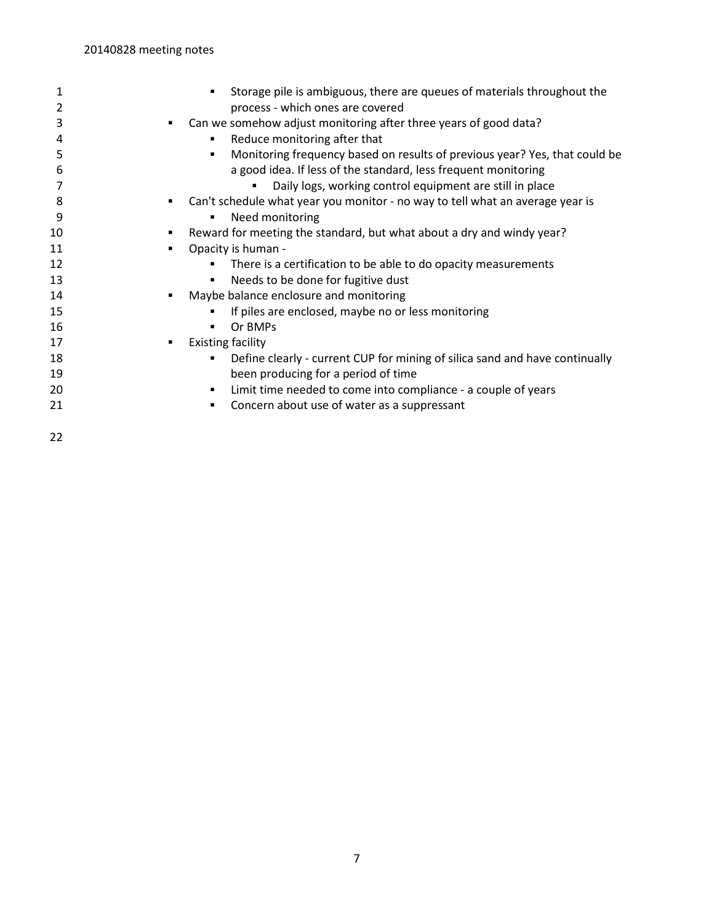| 1<br>2 | Storage pile is ambiguous, there are queues of materials throughout the<br>process - which ones are covered |
|--------|-------------------------------------------------------------------------------------------------------------|
| 3      | Can we somehow adjust monitoring after three years of good data?<br>п                                       |
| 4      | Reduce monitoring after that                                                                                |
| 5      | Monitoring frequency based on results of previous year? Yes, that could be<br>٠                             |
| 6      | a good idea. If less of the standard, less frequent monitoring                                              |
|        |                                                                                                             |
|        | Daily logs, working control equipment are still in place                                                    |
| 8      | Can't schedule what year you monitor - no way to tell what an average year is<br>п                          |
| 9      | Need monitoring                                                                                             |
| 10     | Reward for meeting the standard, but what about a dry and windy year?                                       |
| 11     | Opacity is human -<br>٠                                                                                     |
| 12     | There is a certification to be able to do opacity measurements                                              |
| 13     | Needs to be done for fugitive dust<br>٠                                                                     |
| 14     | Maybe balance enclosure and monitoring<br>٠                                                                 |
| 15     | If piles are enclosed, maybe no or less monitoring                                                          |
| 16     | Or BMPs                                                                                                     |
| 17     | <b>Existing facility</b><br>٠                                                                               |
| 18     | Define clearly - current CUP for mining of silica sand and have continually<br>٠                            |
| 19     | been producing for a period of time                                                                         |
| 20     | Limit time needed to come into compliance - a couple of years<br>٠                                          |
| 21     | Concern about use of water as a suppressant                                                                 |
| 22     |                                                                                                             |